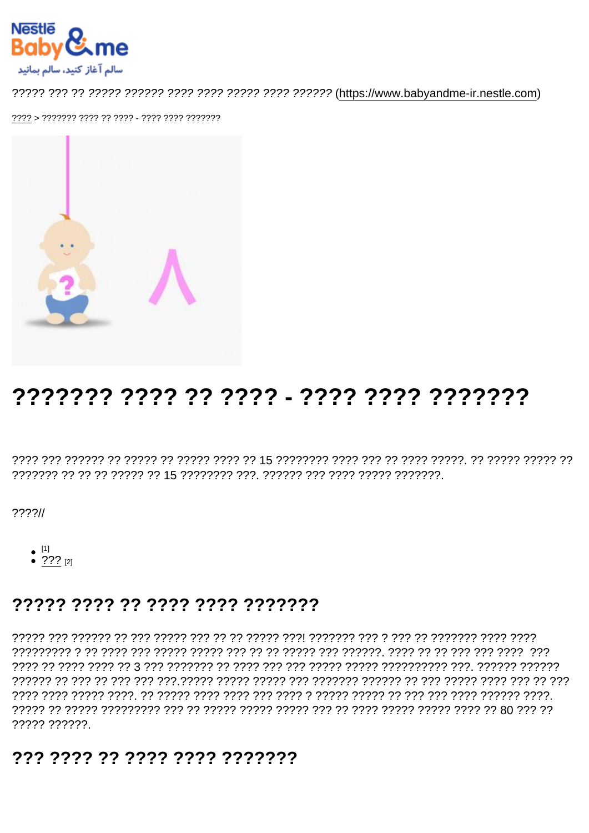# 

 $??\frac{??}{/}$ 

- 
- $^{[1]}$ <br>•  $^{[2]}$   $^{[2]}$

#### 77777 7777 77 7777 7777 7777777

רררך רררך ררך הקומין היי רוב לי היי היו לי היו היו היו לי היו לי לי היו לי היו לי היו לי היו לי היו לי היו לי רממממ הממממ. דרק המממממממי ממממ ממממי מממ מממ מממממי מממי הממי המממי המממי המממי המ רְרָךְ רְּרָ רְרָךְ רְרָרָךְ רְרָרָךָ רְרָךָ רִךְ רִךְ רִרְרָרָךְ רִרְרָרָךְ רְרָרְרָךְ רְרָרְרָרְ רְרָרְרָרָ רְרָרְ רִרְרָ רְרָךְ רְרָךְ רְרָרְרָךְ רְ 77777 777777

### 777 7777 77 7777 7777 7777777